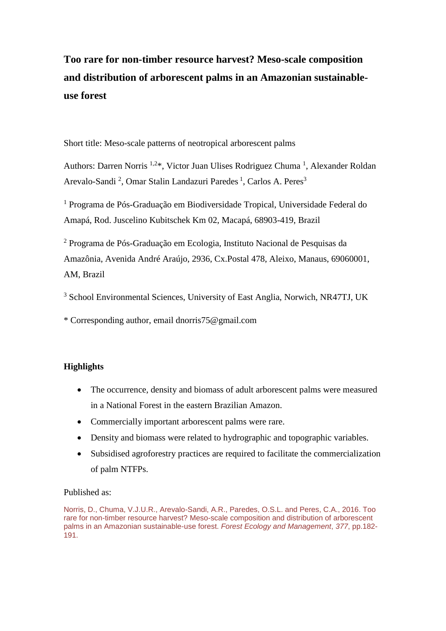# **Too rare for non-timber resource harvest? Meso-scale composition and distribution of arborescent palms in an Amazonian sustainableuse forest**

Short title: Meso-scale patterns of neotropical arborescent palms

Authors: Darren Norris<sup>1,2\*</sup>, Victor Juan Ulises Rodriguez Chuma<sup>1</sup>, Alexander Roldan Arevalo-Sandi<sup>2</sup>, Omar Stalin Landazuri Paredes<sup>1</sup>, Carlos A. Peres<sup>3</sup>

<sup>1</sup> Programa de Pós-Graduação em Biodiversidade Tropical, Universidade Federal do Amapá, Rod. Juscelino Kubitschek Km 02, Macapá, 68903-419, Brazil

<sup>2</sup> Programa de Pós-Graduação em Ecologia, Instituto Nacional de Pesquisas da Amazônia, Avenida André Araújo, 2936, Cx.Postal 478, Aleixo, Manaus, 69060001, AM, Brazil

<sup>3</sup> School Environmental Sciences, University of East Anglia, Norwich, NR47TJ, UK

\* Corresponding author, email dnorris75@gmail.com

# **Highlights**

- The occurrence, density and biomass of adult arborescent palms were measured in a National Forest in the eastern Brazilian Amazon.
- Commercially important arborescent palms were rare.
- Density and biomass were related to hydrographic and topographic variables.
- Subsidised agroforestry practices are required to facilitate the commercialization of palm NTFPs.

# Published as:

Norris, D., Chuma, V.J.U.R., Arevalo-Sandi, A.R., Paredes, O.S.L. and Peres, C.A., 2016. Too rare for non-timber resource harvest? Meso-scale composition and distribution of arborescent palms in an Amazonian sustainable-use forest. *Forest Ecology and Management*, *377*, pp.182- 191.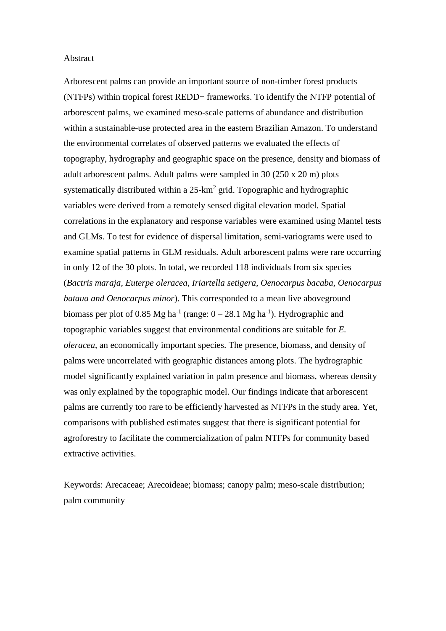#### Abstract

Arborescent palms can provide an important source of non-timber forest products (NTFPs) within tropical forest REDD+ frameworks. To identify the NTFP potential of arborescent palms, we examined meso-scale patterns of abundance and distribution within a sustainable-use protected area in the eastern Brazilian Amazon. To understand the environmental correlates of observed patterns we evaluated the effects of topography, hydrography and geographic space on the presence, density and biomass of adult arborescent palms. Adult palms were sampled in 30 (250 x 20 m) plots systematically distributed within a  $25 \text{-} \text{km}^2$  grid. Topographic and hydrographic variables were derived from a remotely sensed digital elevation model. Spatial correlations in the explanatory and response variables were examined using Mantel tests and GLMs. To test for evidence of dispersal limitation, semi-variograms were used to examine spatial patterns in GLM residuals. Adult arborescent palms were rare occurring in only 12 of the 30 plots. In total, we recorded 118 individuals from six species (*Bactris maraja*, *Euterpe oleracea*, *Iriartella setigera*, *Oenocarpus bacaba*, *Oenocarpus bataua and Oenocarpus minor*). This corresponded to a mean live aboveground biomass per plot of 0.85 Mg ha<sup>-1</sup> (range:  $0 - 28.1$  Mg ha<sup>-1</sup>). Hydrographic and topographic variables suggest that environmental conditions are suitable for *E. oleracea*, an economically important species. The presence, biomass, and density of palms were uncorrelated with geographic distances among plots. The hydrographic model significantly explained variation in palm presence and biomass, whereas density was only explained by the topographic model. Our findings indicate that arborescent palms are currently too rare to be efficiently harvested as NTFPs in the study area. Yet, comparisons with published estimates suggest that there is significant potential for agroforestry to facilitate the commercialization of palm NTFPs for community based extractive activities.

Keywords: Arecaceae; Arecoideae; biomass; canopy palm; meso-scale distribution; palm community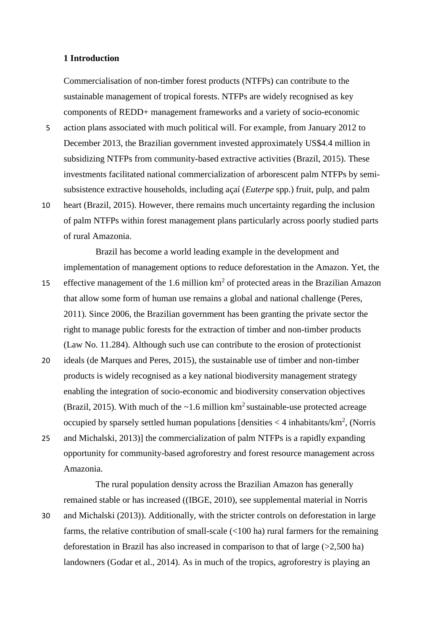### **1 Introduction**

Commercialisation of non-timber forest products (NTFPs) can contribute to the sustainable management of tropical forests. NTFPs are widely recognised as key components of REDD+ management frameworks and a variety of socio-economic

- 5 action plans associated with much political will. For example, from January 2012 to December 2013, the Brazilian government invested approximately US\$4.4 million in subsidizing NTFPs from community-based extractive activities [\(Brazil, 2015\)](#page-20-0). These investments facilitated national commercialization of arborescent palm NTFPs by semisubsistence extractive households, including açaí (*Euterpe* spp.) fruit, pulp, and palm
- 10 heart [\(Brazil, 2015\)](#page-20-0). However, there remains much uncertainty regarding the inclusion of palm NTFPs within forest management plans particularly across poorly studied parts of rural Amazonia.

Brazil has become a world leading example in the development and implementation of management options to reduce deforestation in the Amazon. Yet, the

- 15 effective management of the 1.6 million  $km^2$  of protected areas in the Brazilian Amazon that allow some form of human use remains a global and national challenge [\(Peres,](#page-24-0)  [2011\)](#page-24-0). Since 2006, the Brazilian government has been granting the private sector the right to manage public forests for the extraction of timber and non-timber products (Law No. 11.284). Although such use can contribute to the erosion of protectionist
- 20 ideals [\(de Marques and Peres, 2015\)](#page-21-0), the sustainable use of timber and non-timber products is widely recognised as a key national biodiversity management strategy enabling the integration of socio-economic and biodiversity conservation objectives [\(Brazil, 2015\)](#page-20-0). With much of the  $\sim$ 1.6 million km<sup>2</sup> sustainable-use protected acreage occupied by sparsely settled human populations [densities  $<$  4 inhabitants/km<sup>2</sup>, (Norris
- 25 [and Michalski, 2013\)](#page-24-1)] the commercialization of palm NTFPs is a rapidly expanding opportunity for community-based agroforestry and forest resource management across Amazonia.

The rural population density across the Brazilian Amazon has generally

remained stable or has increased ([\(IBGE, 2010\)](#page-23-0), see supplemental material in [Norris](#page-24-1)  30 and Michalski (2013)). Additionally, with the stricter controls on deforestation in large farms, the relative contribution of small-scale (<100 ha) rural farmers for the remaining deforestation in Brazil has also increased in comparison to that of large (>2,500 ha) landowners [\(Godar et al., 2014\)](#page-22-0). As in much of the tropics, agroforestry is playing an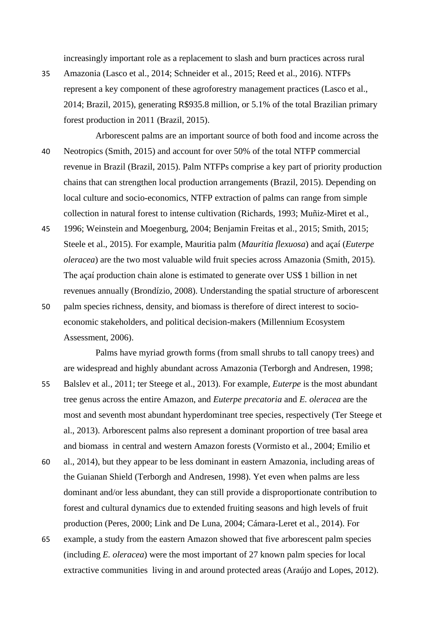increasingly important role as a replacement to slash and burn practices across rural

- 35 Amazonia [\(Lasco et al., 2014;](#page-23-1) [Schneider et](#page-25-0) al., 2015; [Reed et al., 2016\)](#page-25-1). NTFPs represent a key component of these agroforestry management practices [\(Lasco et al.,](#page-23-1)  [2014;](#page-23-1) [Brazil, 2015\)](#page-20-0), generating R\$935.8 million, or 5.1% of the total Brazilian primary forest production in 2011 [\(Brazil, 2015\)](#page-20-0).
- Arborescent palms are an important source of both food and income across the 40 Neotropics [\(Smith, 2015\)](#page-25-2) and account for over 50% of the total NTFP commercial revenue in Brazil [\(Brazil, 2015\)](#page-20-0). Palm NTFPs comprise a key part of priority production chains that can strengthen local production arrangements [\(Brazil, 2015\)](#page-20-0). Depending on local culture and socio-economics, NTFP extraction of palms can range from simple collection in natural forest to intense cultivation [\(Richards, 1993;](#page-25-3) [Muñiz-Miret et al.,](#page-24-2)
- 45 [1996;](#page-24-2) [Weinstein and Moegenburg, 2004;](#page-26-0) [Benjamin Freitas et al., 2015;](#page-20-1) [Smith, 2015;](#page-25-2) [Steele et al., 2015\)](#page-25-4). For example, Mauritia palm (*Mauritia flexuosa*) and açaí (*Euterpe oleracea*) are the two most valuable wild fruit species across Amazonia [\(Smith, 2015\)](#page-25-2). The açaí production chain alone is estimated to generate over US\$ 1 billion in net revenues annually (Brondízio, 2008). Understanding the spatial structure of arborescent
- 50 palm species richness, density, and biomass is therefore of direct interest to socioeconomic stakeholders, and political decision-makers (Millennium Ecosystem Assessment, 2006).

Palms have myriad growth forms (from small shrubs to tall canopy trees) and are widespread and highly abundant across Amazonia [\(Terborgh and Andresen, 1998;](#page-26-1) 55 [Balslev et al., 2011;](#page-20-2) [ter Steege et al., 2013\)](#page-26-2). For example, *Euterpe* is the most abundant tree genus across the entire Amazon, and *Euterpe precatoria* and *E. oleracea* are the most and seventh most abundant hyperdominant tree species, respectively [\(Ter Steege et](#page-26-2)  [al., 2013\)](#page-26-2). Arborescent palms also represent a dominant proportion of tree basal area and biomass in central and western Amazon forests [\(Vormisto et al., 2004;](#page-26-3) [Emilio et](#page-21-1) 

- 60 [al., 2014\)](#page-21-1), but they appear to be less dominant in eastern Amazonia, including areas of the Guianan Shield [\(Terborgh and Andresen, 1998\)](#page-26-1). Yet even when palms are less dominant and/or less abundant, they can still provide a disproportionate contribution to forest and cultural dynamics due to extended fruiting seasons and high levels of fruit production [\(Peres, 2000;](#page-24-3) [Link and De Luna, 2004;](#page-23-2) [Cámara-Leret et al., 2014\)](#page-21-2). For
- 65 example, a study from the eastern Amazon showed that five arborescent palm species (including *E. oleracea*) were the most important of 27 known palm species for local extractive communities living in and around protected areas [\(Araújo and Lopes, 2012\)](#page-20-3).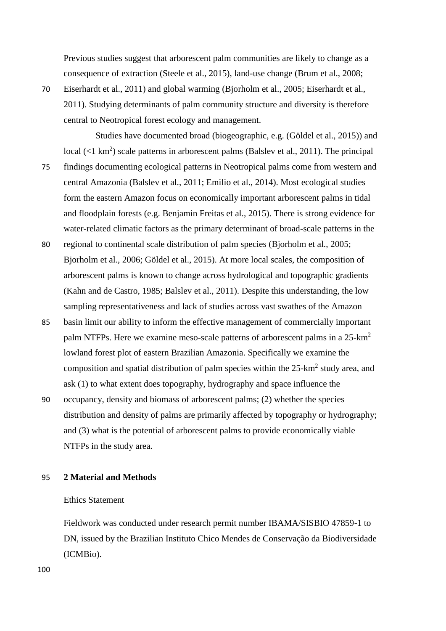Previous studies suggest that arborescent palm communities are likely to change as a consequence of extraction [\(Steele et al., 2015\)](#page-25-4), land-use change [\(Brum et al., 2008;](#page-20-4)

70 [Eiserhardt et al., 2011\)](#page-21-3) and global warming [\(Bjorholm et al., 2005;](#page-20-5) [Eiserhardt et al.,](#page-21-3)  [2011\)](#page-21-3). Studying determinants of palm community structure and diversity is therefore central to Neotropical forest ecology and management.

Studies have documented broad (biogeographic, e.g. [\(Göldel et al., 2015\)](#page-22-1)) and local  $(< 1 \text{ km}^2)$  scale patterns in arborescent palms [\(Balslev et al., 2011\)](#page-20-2). The principal 75 findings documenting ecological patterns in Neotropical palms come from western and central Amazonia [\(Balslev et al., 2011;](#page-20-2) [Emilio et al., 2014\)](#page-21-1). Most ecological studies form the eastern Amazon focus on economically important arborescent palms in tidal and floodplain forests (e.g. [Benjamin Freitas et al.,](#page-20-1) 2015). There is strong evidence for water-related climatic factors as the primary determinant of broad-scale patterns in the

- 80 regional to continental scale distribution of palm species [\(Bjorholm et al., 2005;](#page-20-5) [Bjorholm et al., 2006;](#page-20-6) [Göldel et al., 2015\)](#page-22-1). At more local scales, the composition of arborescent palms is known to change across hydrological and topographic gradients [\(Kahn and de Castro, 1985;](#page-23-3) [Balslev et al., 2011\)](#page-20-2). Despite this understanding, the low sampling representativeness and lack of studies across vast swathes of the Amazon
- 85 basin limit our ability to inform the effective management of commercially important palm NTFPs. Here we examine meso-scale patterns of arborescent palms in a 25-km<sup>2</sup> lowland forest plot of eastern Brazilian Amazonia. Specifically we examine the composition and spatial distribution of palm species within the  $25$ -km<sup>2</sup> study area, and ask (1) to what extent does topography, hydrography and space influence the
- 90 occupancy, density and biomass of arborescent palms; (2) whether the species distribution and density of palms are primarily affected by topography or hydrography; and (3) what is the potential of arborescent palms to provide economically viable NTFPs in the study area.

# 95 **2 Material and Methods**

## Ethics Statement

Fieldwork was conducted under research permit number IBAMA/SISBIO 47859-1 to DN, issued by the Brazilian Instituto Chico Mendes de Conservação da Biodiversidade (ICMBio).

100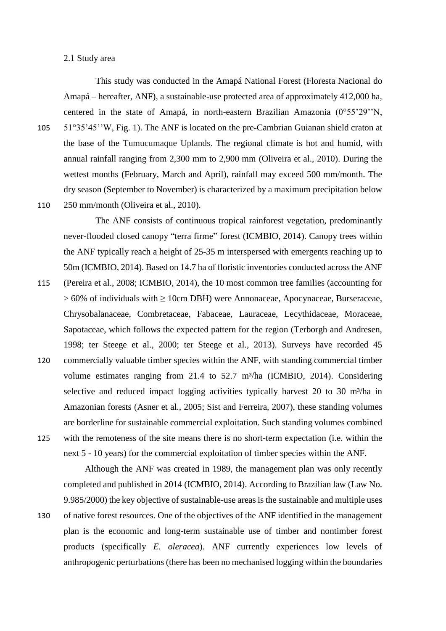2.1 Study area

This study was conducted in the Amapá National Forest (Floresta Nacional do Amapá – hereafter, ANF), a sustainable-use protected area of approximately 412,000 ha, centered in the state of Amapá, in north-eastern Brazilian Amazonia (0°55'29''N, 105 51°35'45''W, Fig. 1). The ANF is located on the pre-Cambrian Guianan shield craton at the base of the Tumucumaque Uplands. The regional climate is hot and humid, with annual rainfall ranging from 2,300 mm to 2,900 mm [\(Oliveira et al., 2010\)](#page-24-4). During the wettest months (February, March and April), rainfall may exceed 500 mm/month. The dry season (September to November) is characterized by a maximum precipitation below 110 250 mm/month [\(Oliveira et al., 2010\)](#page-24-4).

The ANF consists of continuous tropical rainforest vegetation, predominantly never-flooded closed canopy "terra firme" forest [\(ICMBIO, 2014\)](#page-23-4). Canopy trees within the ANF typically reach a height of 25-35 m interspersed with emergents reaching up to 50m [\(ICMBIO, 2014\)](#page-23-4). Based on 14.7 ha of floristic inventories conducted across the ANF 115 [\(Pereira et al., 2008;](#page-24-5) [ICMBIO, 2014\)](#page-23-4), the 10 most common tree families (accounting for  $> 60\%$  of individuals with  $\geq 10$ cm DBH) were Annonaceae, Apocynaceae, Burseraceae, Chrysobalanaceae, Combretaceae, Fabaceae, Lauraceae, Lecythidaceae, Moraceae, Sapotaceae, which follows the expected pattern for the region [\(Terborgh and Andresen,](#page-26-1)  [1998;](#page-26-1) [ter Steege et al., 2000;](#page-26-4) [ter Steege et al., 2013\)](#page-26-2). Surveys have recorded 45 120 commercially valuable timber species within the ANF, with standing commercial timber volume estimates ranging from 21.4 to  $52.7 \text{ m}^3/\text{ha}$  [\(ICMBIO, 2014\)](#page-23-4). Considering selective and reduced impact logging activities typically harvest 20 to 30 m<sup>3</sup>/ha in Amazonian forests [\(Asner et al., 2005;](#page-20-7) [Sist and Ferreira, 2007\)](#page-25-5), these standing volumes are borderline for sustainable commercial exploitation. Such standing volumes combined 125 with the remoteness of the site means there is no short-term expectation (i.e. within the next 5 - 10 years) for the commercial exploitation of timber species within the ANF.

Although the ANF was created in 1989, the management plan was only recently completed and published in 2014 [\(ICMBIO, 2014\)](#page-23-4). According to Brazilian law (Law No. 9.985/2000) the key objective of sustainable-use areas is the sustainable and multiple uses 130 of native forest resources. One of the objectives of the ANF identified in the management plan is the economic and long-term sustainable use of timber and nontimber forest products (specifically *E. oleracea*). ANF currently experiences low levels of anthropogenic perturbations (there has been no mechanised logging within the boundaries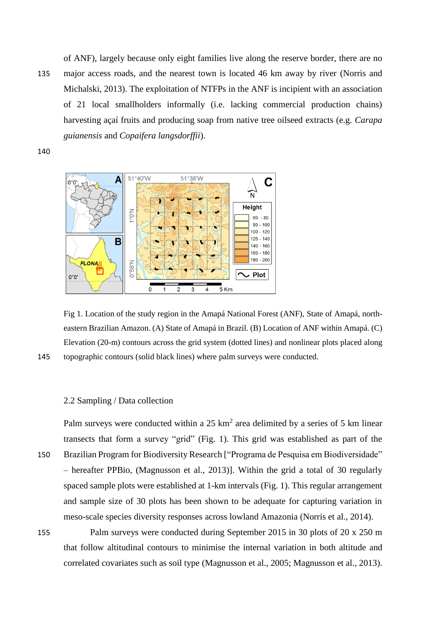of ANF), largely because only eight families live along the reserve border, there are no 135 major access roads, and the nearest town is located 46 km away by river [\(Norris and](#page-24-1)  [Michalski, 2013\)](#page-24-1). The exploitation of NTFPs in the ANF is incipient with an association of 21 local smallholders informally (i.e. lacking commercial production chains) harvesting açaí fruits and producing soap from native tree oilseed extracts (e.g. *Carapa guianensis* and *Copaifera langsdorffii*).

140



Fig 1. Location of the study region in the Amapá National Forest (ANF), State of Amapá, northeastern Brazilian Amazon. (A) State of Amapá in Brazil. (B) Location of ANF within Amapá. (C) Elevation (20-m) contours across the grid system (dotted lines) and nonlinear plots placed along 145 topographic contours (solid black lines) where palm surveys were conducted.

## 2.2 Sampling / Data collection

Palm surveys were conducted within a  $25 \text{ km}^2$  area delimited by a series of 5 km linear transects that form a survey "grid" (Fig. 1). This grid was established as part of the 150 Brazilian Program for Biodiversity Research ["Programa de Pesquisa em Biodiversidade" – hereafter PPBio, [\(Magnusson et al., 2013\)](#page-23-5)]. Within the grid a total of 30 regularly spaced sample plots were established at 1-km intervals (Fig. 1). This regular arrangement and sample size of 30 plots has been shown to be adequate for capturing variation in meso-scale species diversity responses across lowland Amazonia [\(Norris et al., 2014\)](#page-24-6).

155 Palm surveys were conducted during September 2015 in 30 plots of 20 x 250 m that follow altitudinal contours to minimise the internal variation in both altitude and correlated covariates such as soil type [\(Magnusson et al., 2005;](#page-23-6) [Magnusson et al., 2013\)](#page-23-5).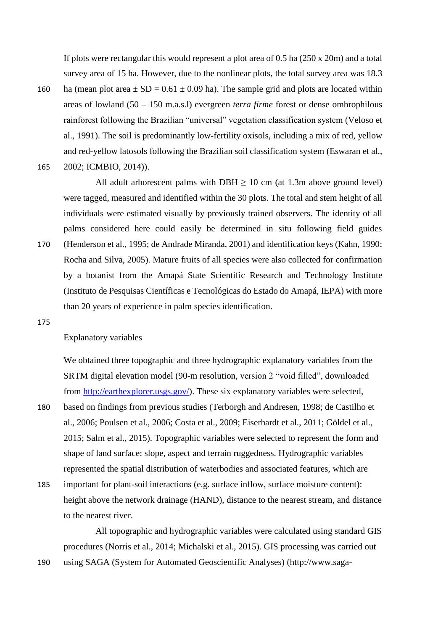If plots were rectangular this would represent a plot area of 0.5 ha (250 x 20m) and a total survey area of 15 ha. However, due to the nonlinear plots, the total survey area was 18.3

160 ha (mean plot area  $\pm$  SD = 0.61  $\pm$  0.09 ha). The sample grid and plots are located within areas of lowland (50 – 150 m.a.s.l) evergreen *terra firme* forest or dense ombrophilous rainforest following the Brazilian "universal" vegetation classification system [\(Veloso et](#page-26-5)  [al., 1991\)](#page-26-5). The soil is predominantly low-fertility oxisols, including a mix of red, yellow and red-yellow latosols following the Brazilian soil classification system [\(Eswaran et al.,](#page-21-4)  165 [2002;](#page-21-4) [ICMBIO, 2014\)](#page-23-4)).

All adult arborescent palms with DBH  $\geq$  10 cm (at 1.3m above ground level) were tagged, measured and identified within the 30 plots. The total and stem height of all individuals were estimated visually by previously trained observers. The identity of all palms considered here could easily be determined in situ following field guides 170 [\(Henderson et al., 1995;](#page-22-2) [de Andrade Miranda, 2001\)](#page-21-5) and identification keys [\(Kahn, 1990;](#page-23-7) [Rocha and Silva, 2005\)](#page-25-6). Mature fruits of all species were also collected for confirmation by a botanist from the Amapá State Scientific Research and Technology Institute (Instituto de Pesquisas Científicas e Tecnológicas do Estado do Amapá, IEPA) with more than 20 years of experience in palm species identification.

#### 175

#### Explanatory variables

We obtained three topographic and three hydrographic explanatory variables from the SRTM digital elevation model (90-m resolution, version 2 "void filled", downloaded from [http://earthexplorer.usgs.gov/\)](http://earthexplorer.usgs.gov/). These six explanatory variables were selected,

- 180 based on findings from previous studies [\(Terborgh and Andresen, 1998;](#page-26-1) [de Castilho et](#page-21-6)  [al., 2006;](#page-21-6) [Poulsen et al., 2006;](#page-25-7) [Costa et al., 2009;](#page-21-7) [Eiserhardt et al., 2011;](#page-21-3) [Göldel et al.,](#page-22-1)  [2015;](#page-22-1) [Salm et al., 2015\)](#page-25-8). Topographic variables were selected to represent the form and shape of land surface: slope, aspect and terrain ruggedness. Hydrographic variables represented the spatial distribution of waterbodies and associated features, which are
- 185 important for plant-soil interactions (e.g. surface inflow, surface moisture content): height above the network drainage (HAND), distance to the nearest stream, and distance to the nearest river.

All topographic and hydrographic variables were calculated using standard GIS procedures [\(Norris et al., 2014;](#page-24-6) [Michalski et al., 2015\)](#page-23-8). GIS processing was carried out 190 using SAGA (System for Automated Geoscientific Analyses) (http://www.saga-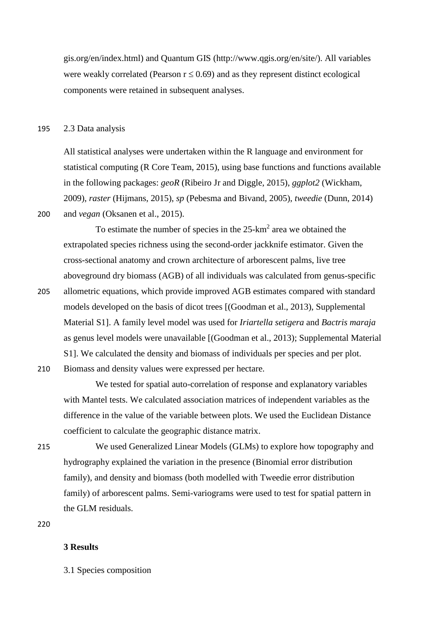gis.org/en/index.html) and Quantum GIS (http://www.qgis.org/en/site/). All variables were weakly correlated (Pearson  $r \le 0.69$ ) and as they represent distinct ecological components were retained in subsequent analyses.

195 2.3 Data analysis

All statistical analyses were undertaken within the R language and environment for statistical computing [\(R Core Team, 2015\)](#page-25-9), using base functions and functions available in the following packages: *geoR* [\(Ribeiro Jr and Diggle, 2015\)](#page-25-10), *ggplot2* [\(Wickham,](#page-26-6)  [2009\)](#page-26-6), *raster* [\(Hijmans, 2015\)](#page-22-3), *sp* [\(Pebesma and Bivand, 2005\)](#page-24-7), *tweedie* [\(Dunn, 2014\)](#page-21-8) 200 and *vegan* [\(Oksanen et al., 2015\)](#page-24-8).

To estimate the number of species in the  $25 \text{-} \text{km}^2$  area we obtained the extrapolated species richness using the second-order jackknife estimator. Given the cross-sectional anatomy and crown architecture of arborescent palms, live tree aboveground dry biomass (AGB) of all individuals was calculated from genus-specific

205 allometric equations, which provide improved AGB estimates compared with standard models developed on the basis of dicot trees [[\(Goodman et al., 2013\)](#page-22-4), Supplemental Material S1]. A family level model was used for *Iriartella setigera* and *Bactris maraja* as genus level models were unavailable [[\(Goodman et al., 2013\)](#page-22-4); Supplemental Material S1]. We calculated the density and biomass of individuals per species and per plot.

210 Biomass and density values were expressed per hectare.

We tested for spatial auto-correlation of response and explanatory variables with Mantel tests. We calculated association matrices of independent variables as the difference in the value of the variable between plots. We used the Euclidean Distance coefficient to calculate the geographic distance matrix.

215 We used Generalized Linear Models (GLMs) to explore how topography and hydrography explained the variation in the presence (Binomial error distribution family), and density and biomass (both modelled with Tweedie error distribution family) of arborescent palms. Semi-variograms were used to test for spatial pattern in the GLM residuals.

220

# **3 Results**

3.1 Species composition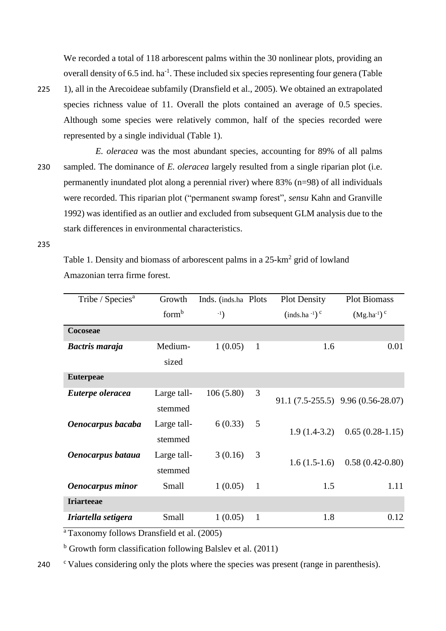We recorded a total of 118 arborescent palms within the 30 nonlinear plots, providing an overall density of  $6.5$  ind. ha<sup>-1</sup>. These included six species representing four genera (Table

- 225 1), all in the Arecoideae subfamily [\(Dransfield et al., 2005\)](#page-21-9). We obtained an extrapolated species richness value of 11. Overall the plots contained an average of 0.5 species. Although some species were relatively common, half of the species recorded were represented by a single individual (Table 1).
- *E. oleracea* was the most abundant species, accounting for 89% of all palms 230 sampled. The dominance of *E. oleracea* largely resulted from a single riparian plot (i.e. permanently inundated plot along a perennial river) where 83% (n=98) of all individuals were recorded. This riparian plot ("permanent swamp forest", *sensu* [Kahn and Granville](#page-23-9)  1992) was identified as an outlier and excluded from subsequent GLM analysis due to the stark differences in environmental characteristics.

235

Table 1. Density and biomass of arborescent palms in a 25-km<sup>2</sup> grid of lowland Amazonian terra firme forest.

| Tribe / Species <sup>a</sup>                                          | Growth            | Inds. (inds.ha Plots |              | <b>Plot Density</b>                  | <b>Plot Biomass</b>                |  |
|-----------------------------------------------------------------------|-------------------|----------------------|--------------|--------------------------------------|------------------------------------|--|
|                                                                       | form <sup>b</sup> | $-1)$                |              | $\left(\text{inds.ha}^{-1}\right)^c$ | $(Mg.ha^{-1})^c$                   |  |
| Cocoseae                                                              |                   |                      |              |                                      |                                    |  |
| <b>Bactris maraja</b>                                                 | Medium-           | 1(0.05)              | $\mathbf{1}$ | 1.6                                  | 0.01                               |  |
|                                                                       | sized             |                      |              |                                      |                                    |  |
| <b>Euterpeae</b>                                                      |                   |                      |              |                                      |                                    |  |
| Euterpe oleracea                                                      | Large tall-       | 106(5.80)            | 3            |                                      | 91.1 (7.5-255.5) 9.96 (0.56-28.07) |  |
|                                                                       | stemmed           |                      |              |                                      |                                    |  |
| Oenocarpus bacaba                                                     | Large tall-       | 6(0.33)              | 5            | $1.9(1.4-3.2)$                       | $0.65(0.28-1.15)$                  |  |
|                                                                       | stemmed           |                      |              |                                      |                                    |  |
| Oenocarpus bataua                                                     | Large tall-       | 3(0.16)              | 3            |                                      | $0.58(0.42-0.80)$                  |  |
|                                                                       | stemmed           |                      |              | $1.6(1.5-1.6)$                       |                                    |  |
| Oenocarpus minor                                                      | Small             | 1(0.05)              | $\mathbf{1}$ | 1.5                                  | 1.11                               |  |
| <b>Iriarteeae</b>                                                     |                   |                      |              |                                      |                                    |  |
| Iriartella setigera<br>$1$ Tayanamay fallayya Duangfiald at al (2005) | Small             | 1(0.05)              | $\mathbf{1}$ | 1.8                                  | 0.12                               |  |

Taxonomy follows [Dransfield et al. \(2005\)](#page-21-9)

 $<sup>b</sup>$  Growth form classification following [Balslev et al. \(2011\)](#page-20-2)</sup>

240 CValues considering only the plots where the species was present (range in parenthesis).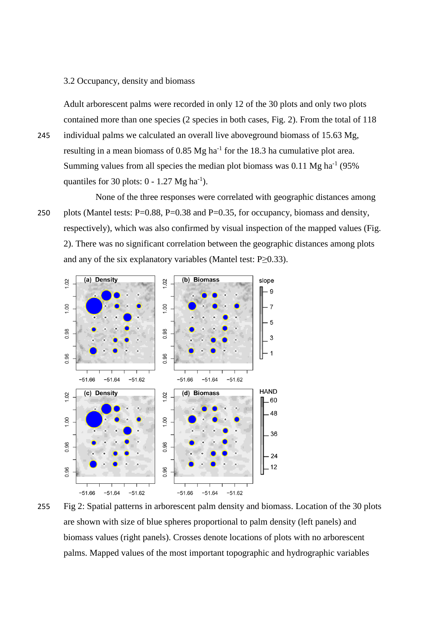## 3.2 Occupancy, density and biomass

Adult arborescent palms were recorded in only 12 of the 30 plots and only two plots contained more than one species (2 species in both cases, Fig. 2). From the total of 118

- 245 individual palms we calculated an overall live aboveground biomass of 15.63 Mg, resulting in a mean biomass of 0.85  $Mg$  ha<sup>-1</sup> for the 18.3 ha cumulative plot area. Summing values from all species the median plot biomass was  $0.11$  Mg ha<sup>-1</sup> (95%) quantiles for 30 plots:  $0 - 1.27$  Mg ha<sup>-1</sup>).
- None of the three responses were correlated with geographic distances among 250 plots (Mantel tests: P=0.88, P=0.38 and P=0.35, for occupancy, biomass and density, respectively), which was also confirmed by visual inspection of the mapped values (Fig. 2). There was no significant correlation between the geographic distances among plots and any of the six explanatory variables (Mantel test:  $P \ge 0.33$ ).



255 Fig 2: Spatial patterns in arborescent palm density and biomass. Location of the 30 plots are shown with size of blue spheres proportional to palm density (left panels) and biomass values (right panels). Crosses denote locations of plots with no arborescent palms. Mapped values of the most important topographic and hydrographic variables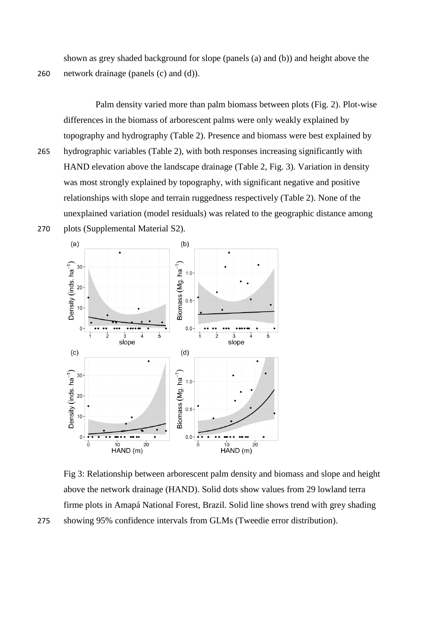shown as grey shaded background for slope (panels (a) and (b)) and height above the 260 network drainage (panels (c) and (d)).

Palm density varied more than palm biomass between plots (Fig. 2). Plot-wise differences in the biomass of arborescent palms were only weakly explained by topography and hydrography (Table 2). Presence and biomass were best explained by 265 hydrographic variables (Table 2), with both responses increasing significantly with HAND elevation above the landscape drainage (Table 2, Fig. 3). Variation in density was most strongly explained by topography, with significant negative and positive relationships with slope and terrain ruggedness respectively (Table 2). None of the unexplained variation (model residuals) was related to the geographic distance among 270 plots (Supplemental Material S2).



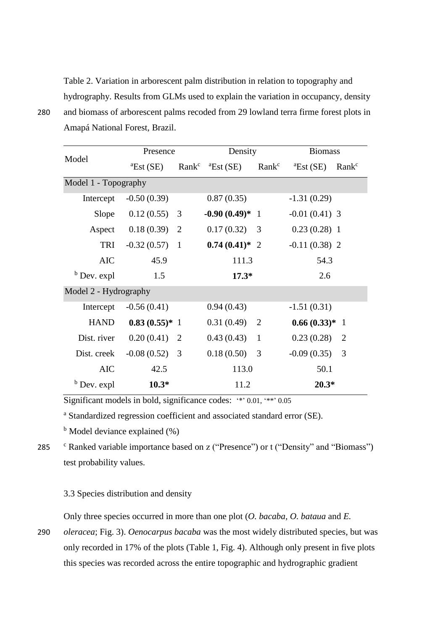Table 2. Variation in arborescent palm distribution in relation to topography and hydrography. Results from GLMs used to explain the variation in occupancy, density 280 and biomass of arborescent palms recoded from 29 lowland terra firme forest plots in Amapá National Forest, Brazil.

| Model                  | Presence              |                | Density                                  |                   | <b>Biomass</b>        |                   |  |  |  |
|------------------------|-----------------------|----------------|------------------------------------------|-------------------|-----------------------|-------------------|--|--|--|
|                        | ${}^{\rm a}$ Est (SE) |                | Rank <sup>c</sup> ${}^{\alpha}$ Est (SE) | Rank <sup>c</sup> | ${}^{\rm a}$ Est (SE) | Rank <sup>c</sup> |  |  |  |
| Model 1 - Topography   |                       |                |                                          |                   |                       |                   |  |  |  |
| Intercept              | $-0.50(0.39)$         |                | 0.87(0.35)                               |                   | $-1.31(0.29)$         |                   |  |  |  |
| Slope                  | $0.12(0.55)$ 3        |                | $-0.90(0.49)*1$                          |                   | $-0.01(0.41)$ 3       |                   |  |  |  |
| Aspect                 | 0.18(0.39)            | 2              | 0.17(0.32)                               | 3                 | $0.23(0.28)$ 1        |                   |  |  |  |
| TRI                    | $-0.32(0.57)$         | $\mathbf{1}$   | $0.74(0.41)*$ 2                          |                   | $-0.11(0.38)$ 2       |                   |  |  |  |
| <b>AIC</b>             | 45.9                  |                | 111.3                                    |                   | 54.3                  |                   |  |  |  |
| $b$ Dev. expl          | 1.5                   |                | $17.3*$                                  |                   | 2.6                   |                   |  |  |  |
| Model 2 - Hydrography  |                       |                |                                          |                   |                       |                   |  |  |  |
| Intercept              | $-0.56(0.41)$         |                | 0.94(0.43)                               |                   | $-1.51(0.31)$         |                   |  |  |  |
| <b>HAND</b>            | $0.83(0.55)*1$        |                | 0.31(0.49)                               | $\overline{2}$    | $0.66(0.33)*1$        |                   |  |  |  |
| Dist. river            | 0.20(0.41)            | $\overline{2}$ | 0.43(0.43)                               | $\mathbf{1}$      | 0.23(0.28)            | 2                 |  |  |  |
| Dist. creek            | $-0.08(0.52)$ 3       |                | 0.18(0.50)                               | $\overline{3}$    | $-0.09(0.35)$         | 3                 |  |  |  |
| <b>AIC</b>             | 42.5                  |                | 113.0                                    |                   | 50.1                  |                   |  |  |  |
| <sup>b</sup> Dev. expl | $10.3*$               |                | 11.2                                     |                   | $20.3*$               |                   |  |  |  |

Significant models in bold, significance codes: '\*' 0.01, '\*\*' 0.05

<sup>a</sup> Standardized regression coefficient and associated standard error (SE).

 $<sup>b</sup>$  Model deviance explained (%)</sup>

285 C Ranked variable importance based on z ("Presence") or t ("Density" and "Biomass") test probability values.

# 3.3 Species distribution and density

Only three species occurred in more than one plot (*O. bacaba, O. bataua* and *E.* 

290 *oleracea*; Fig. 3). *Oenocarpus bacaba* was the most widely distributed species, but was only recorded in 17% of the plots (Table 1, Fig. 4). Although only present in five plots this species was recorded across the entire topographic and hydrographic gradient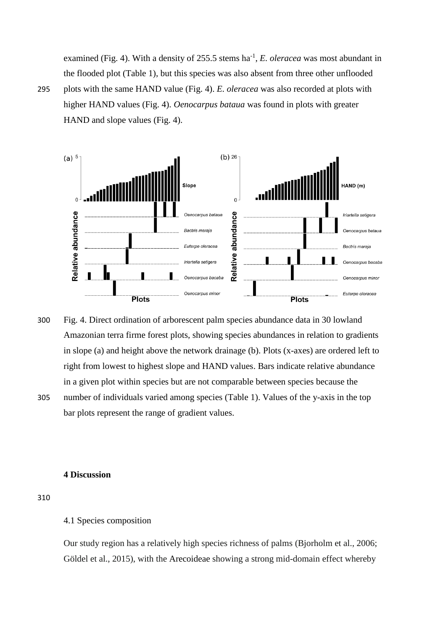examined (Fig. 4). With a density of 255.5 stems ha<sup>-1</sup>, *E. oleracea* was most abundant in the flooded plot (Table 1), but this species was also absent from three other unflooded 295 plots with the same HAND value (Fig. 4). *E. oleracea* was also recorded at plots with higher HAND values (Fig. 4). *Oenocarpus bataua* was found in plots with greater

HAND and slope values (Fig. 4).



- 300 Fig. 4. Direct ordination of arborescent palm species abundance data in 30 lowland Amazonian terra firme forest plots, showing species abundances in relation to gradients in slope (a) and height above the network drainage (b). Plots (x-axes) are ordered left to right from lowest to highest slope and HAND values. Bars indicate relative abundance in a given plot within species but are not comparable between species because the
- 305 number of individuals varied among species (Table 1). Values of the y-axis in the top bar plots represent the range of gradient values.

# **4 Discussion**

310

# 4.1 Species composition

Our study region has a relatively high species richness of palms [\(Bjorholm et al., 2006;](#page-20-6) [Göldel et al., 2015\)](#page-22-1), with the Arecoideae showing a strong mid-domain effect whereby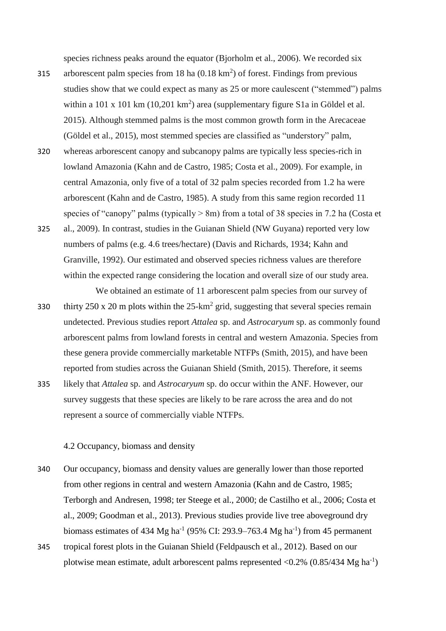species richness peaks around the equator [\(Bjorholm et al., 2006\)](#page-20-6). We recorded six

- 315 arborescent palm species from 18 ha  $(0.18 \text{ km}^2)$  of forest. Findings from previous studies show that we could expect as many as 25 or more caulescent ("stemmed") palms within a 101 x 101 km  $(10,201 \text{ km}^2)$  area (supplementary figure S1a in Göldel et al. 2015). Although stemmed palms is the most common growth form in the Arecaceae [\(Göldel et al., 2015\)](#page-22-1), most stemmed species are classified as "understory" palm,
- 320 whereas arborescent canopy and subcanopy palms are typically less species-rich in lowland Amazonia [\(Kahn and de Castro, 1985;](#page-23-3) [Costa et al., 2009\)](#page-21-7). For example, in central Amazonia, only five of a total of 32 palm species recorded from 1.2 ha were arborescent [\(Kahn and de Castro, 1985\)](#page-23-3). A study from this same region recorded 11 species of "canopy" palms (typically  $> 8m$ ) from a total of 38 species in 7.2 ha (Costa et
- 325 [al., 2009\)](#page-21-7). In contrast, studies in the Guianan Shield (NW Guyana) reported very low numbers of palms (e.g. 4.6 trees/hectare) [\(Davis and Richards, 1934;](#page-21-10) [Kahn and](#page-23-9)  [Granville, 1992\)](#page-23-9). Our estimated and observed species richness values are therefore within the expected range considering the location and overall size of our study area.

We obtained an estimate of 11 arborescent palm species from our survey of

- 330 thirty  $250 \times 20$  m plots within the  $25 \text{-} \text{km}^2$  grid, suggesting that several species remain undetected. Previous studies report *Attalea* sp. and *Astrocaryum* sp. as commonly found arborescent palms from lowland forests in central and western Amazonia. Species from these genera provide commercially marketable NTFPs [\(Smith, 2015\)](#page-25-2), and have been reported from studies across the Guianan Shield [\(Smith, 2015\)](#page-25-2). Therefore, it seems
- 335 likely that *Attalea* sp. and *Astrocaryum* sp. do occur within the ANF. However, our survey suggests that these species are likely to be rare across the area and do not represent a source of commercially viable NTFPs.

### 4.2 Occupancy, biomass and density

- 340 Our occupancy, biomass and density values are generally lower than those reported from other regions in central and western Amazonia [\(Kahn and de Castro, 1985;](#page-23-3) [Terborgh and Andresen, 1998;](#page-26-1) [ter Steege et al., 2000;](#page-26-4) [de Castilho et al., 2006;](#page-21-6) [Costa et](#page-21-7)  [al., 2009;](#page-21-7) [Goodman et al., 2013\)](#page-22-4). Previous studies provide live tree aboveground dry biomass estimates of 434 Mg ha<sup>-1</sup> (95% CI: 293.9–763.4 Mg ha<sup>-1</sup>) from 45 permanent
- 345 tropical forest plots in the Guianan Shield [\(Feldpausch et al., 2012\)](#page-21-11). Based on our plotwise mean estimate, adult arborescent palms represented  $\langle 0.2\%~(0.85/434~\rm{Mg~ha}^{-1}\rangle$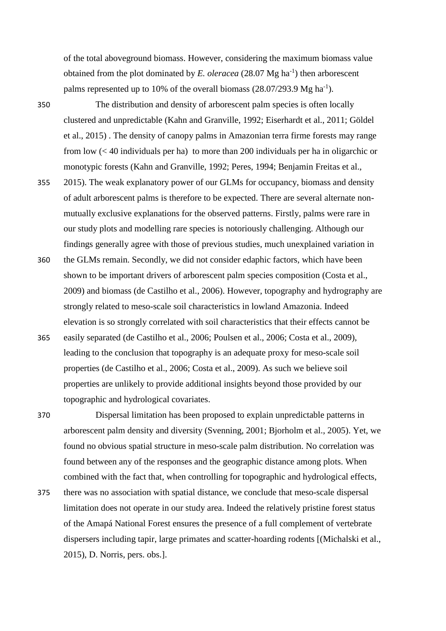of the total aboveground biomass. However, considering the maximum biomass value obtained from the plot dominated by  $E$ . *oleracea* (28.07 Mg ha<sup>-1</sup>) then arborescent palms represented up to 10% of the overall biomass  $(28.07/293.9 \text{ Mg ha}^{-1})$ .

350 The distribution and density of arborescent palm species is often locally clustered and unpredictable [\(Kahn and Granville, 1992;](#page-23-9) [Eiserhardt et al., 2011;](#page-21-3) [Göldel](#page-22-1)  [et al., 2015\)](#page-22-1) . The density of canopy palms in Amazonian terra firme forests may range from low (< 40 individuals per ha) to more than 200 individuals per ha in oligarchic or monotypic forests [\(Kahn and Granville, 1992;](#page-23-9) [Peres, 1994;](#page-24-9) [Benjamin Freitas et al.,](#page-20-1) 

355 [2015\)](#page-20-1). The weak explanatory power of our GLMs for occupancy, biomass and density of adult arborescent palms is therefore to be expected. There are several alternate nonmutually exclusive explanations for the observed patterns. Firstly, palms were rare in our study plots and modelling rare species is notoriously challenging. Although our findings generally agree with those of previous studies, much unexplained variation in

360 the GLMs remain. Secondly, we did not consider edaphic factors, which have been shown to be important drivers of arborescent palm species composition [\(Costa et al.,](#page-21-7)  [2009\)](#page-21-7) and biomass [\(de Castilho et al., 2006\)](#page-21-6). However, topography and hydrography are strongly related to meso-scale soil characteristics in lowland Amazonia. Indeed elevation is so strongly correlated with soil characteristics that their effects cannot be

365 easily separated [\(de Castilho et al., 2006;](#page-21-6) [Poulsen et al., 2006;](#page-25-7) [Costa et al., 2009\)](#page-21-7), leading to the conclusion that topography is an adequate proxy for meso-scale soil properties [\(de Castilho et al., 2006;](#page-21-6) [Costa et al., 2009\)](#page-21-7). As such we believe soil properties are unlikely to provide additional insights beyond those provided by our topographic and hydrological covariates.

370 Dispersal limitation has been proposed to explain unpredictable patterns in arborescent palm density and diversity [\(Svenning, 2001;](#page-26-7) [Bjorholm et al., 2005\)](#page-20-5). Yet, we found no obvious spatial structure in meso-scale palm distribution. No correlation was found between any of the responses and the geographic distance among plots. When combined with the fact that, when controlling for topographic and hydrological effects,

375 there was no association with spatial distance, we conclude that meso-scale dispersal limitation does not operate in our study area. Indeed the relatively pristine forest status of the Amapá National Forest ensures the presence of a full complement of vertebrate dispersers including tapir, large primates and scatter-hoarding rodents [[\(Michalski et al.,](#page-23-8)  [2015\)](#page-23-8), D. Norris, pers. obs.].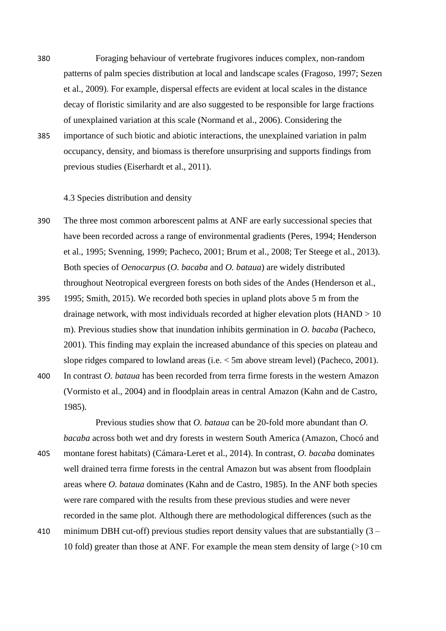380 Foraging behaviour of vertebrate frugivores induces complex, non-random patterns of palm species distribution at local and landscape scales [\(Fragoso, 1997;](#page-22-5) [Sezen](#page-25-11)  [et al., 2009\)](#page-25-11). For example, dispersal effects are evident at local scales in the distance decay of floristic similarity and are also suggested to be responsible for large fractions of unexplained variation at this scale (Normand [et al., 2006\)](#page-24-10). Considering the 385 importance of such biotic and abiotic interactions, the unexplained variation in palm occupancy, density, and biomass is therefore unsurprising and supports findings from previous studies [\(Eiserhardt et al., 2011\)](#page-21-3).

#### 4.3 Species distribution and density

- 390 The three most common arborescent palms at ANF are early successional species that have been recorded across a range of environmental gradients [\(Peres, 1994;](#page-24-9) [Henderson](#page-22-2)  [et al., 1995;](#page-22-2) [Svenning, 1999;](#page-26-8) [Pacheco, 2001;](#page-24-11) [Brum et al., 2008;](#page-20-4) [Ter Steege et al., 2013\)](#page-26-2). Both species of *Oenocarpus* (*O. bacaba* and *O. bataua*) are widely distributed throughout Neotropical evergreen forests on both sides of the Andes [\(Henderson et al.,](#page-22-2)
- 395 [1995;](#page-22-2) [Smith, 2015\)](#page-25-2). We recorded both species in upland plots above 5 m from the drainage network, with most individuals recorded at higher elevation plots (HAND > 10 m). Previous studies show that inundation inhibits germination in *O. bacaba* [\(Pacheco,](#page-24-11)  [2001\)](#page-24-11). This finding may explain the increased abundance of this species on plateau and slope ridges compared to lowland areas (i.e. < 5m above stream level) [\(Pacheco, 2001\)](#page-24-11). 400 In contrast *O. bataua* has been recorded from terra firme forests in the western Amazon

[\(Vormisto et al., 2004\)](#page-26-3) and in floodplain areas in central Amazon [\(Kahn and de Castro,](#page-23-3)  [1985\)](#page-23-3).

Previous studies show that *O. bataua* can be 20-fold more abundant than *O. bacaba* across both wet and dry forests in western South America (Amazon, Chocó and 405 montane forest habitats) [\(Cámara-Leret et al., 2014\)](#page-21-2). In contrast, *O. bacaba* dominates well drained terra firme forests in the central Amazon but was absent from floodplain areas where *O. bataua* dominates [\(Kahn and de Castro, 1985\)](#page-23-3). In the ANF both species were rare compared with the results from these previous studies and were never recorded in the same plot. Although there are methodological differences (such as the

410 minimum DBH cut-off) previous studies report density values that are substantially  $(3 -$ 10 fold) greater than those at ANF. For example the mean stem density of large (>10 cm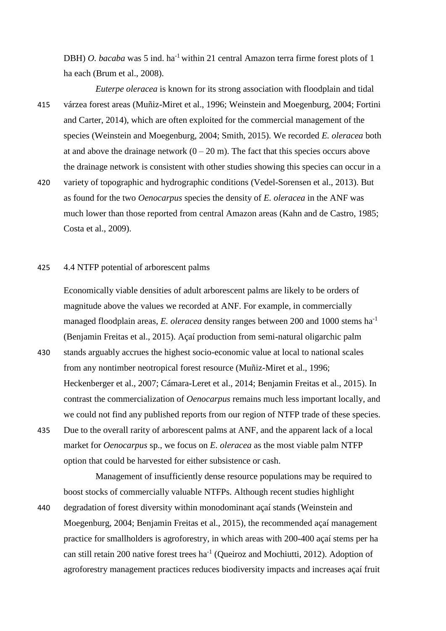DBH) *O. bacaba* was 5 ind. ha<sup>-1</sup> within 21 central Amazon terra firme forest plots of 1 ha each [\(Brum et al., 2008\)](#page-20-4).

- *Euterpe oleracea* is known for its strong association with floodplain and tidal 415 várzea forest areas [\(Muñiz-Miret et al., 1996;](#page-24-2) [Weinstein and Moegenburg, 2004;](#page-26-0) [Fortini](#page-22-6)  [and Carter, 2014\)](#page-22-6), which are often exploited for the commercial management of the species [\(Weinstein and Moegenburg, 2004;](#page-26-0) [Smith, 2015\)](#page-25-2). We recorded *E. oleracea* both at and above the drainage network  $(0 - 20 \text{ m})$ . The fact that this species occurs above the drainage network is consistent with other studies showing this species can occur in a
- 420 variety of topographic and hydrographic conditions [\(Vedel-Sorensen et al., 2013\)](#page-26-9). But as found for the two *Oenocarpus* species the density of *E. oleracea* in the ANF was much lower than those reported from central Amazon areas [\(Kahn and de Castro, 1985;](#page-23-3) [Costa et al., 2009\)](#page-21-7).

### 425 4.4 NTFP potential of arborescent palms

Economically viable densities of adult arborescent palms are likely to be orders of magnitude above the values we recorded at ANF. For example, in commercially managed floodplain areas, *E. oleracea* density ranges between 200 and 1000 stems ha<sup>-1</sup> [\(Benjamin Freitas et al., 2015\)](#page-20-1). Açaí production from semi-natural oligarchic palm

430 stands arguably accrues the highest socio-economic value at local to national scales from any nontimber neotropical forest resource [\(Muñiz-Miret et al., 1996;](#page-24-2) [Heckenberger et al., 2007;](#page-22-7) [Cámara-Leret et al., 2014;](#page-21-2) [Benjamin Freitas et al., 2015\)](#page-20-1). In contrast the commercialization of *Oenocarpus* remains much less important locally, and we could not find any published reports from our region of NTFP trade of these species. 435 Due to the overall rarity of arborescent palms at ANF, and the apparent lack of a local market for *Oenocarpus* sp., we focus on *E. oleracea* as the most viable palm NTFP option that could be harvested for either subsistence or cash.

Management of insufficiently dense resource populations may be required to boost stocks of commercially valuable NTFPs. Although recent studies highlight 440 degradation of forest diversity within monodominant açaí stands [\(Weinstein and](#page-26-0)  [Moegenburg, 2004;](#page-26-0) [Benjamin Freitas et al., 2015\)](#page-20-1), the recommended açaí management practice for smallholders is agroforestry, in which areas with 200-400 açaí stems per ha can still retain 200 native forest trees ha<sup>-1</sup> [\(Queiroz and Mochiutti, 2012\)](#page-25-12). Adoption of agroforestry management practices reduces biodiversity impacts and increases açaí fruit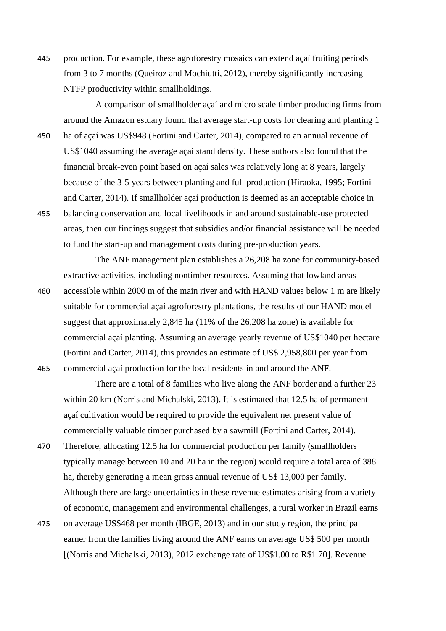445 production. For example, these agroforestry mosaics can extend açaí fruiting periods from 3 to 7 months [\(Queiroz and Mochiutti, 2012\)](#page-25-12), thereby significantly increasing NTFP productivity within smallholdings.

A comparison of smallholder açaí and micro scale timber producing firms from around the Amazon estuary found that average start-up costs for clearing and planting 1 450 ha of açaí was US\$948 [\(Fortini and Carter, 2014\)](#page-22-6), compared to an annual revenue of US\$1040 assuming the average açaí stand density. These authors also found that the financial break-even point based on açaí sales was relatively long at 8 years, largely because of the 3-5 years between planting and full production [\(Hiraoka, 1995;](#page-23-10) [Fortini](#page-22-6)  [and Carter, 2014\)](#page-22-6). If smallholder açaí production is deemed as an acceptable choice in 455 balancing conservation and local livelihoods in and around sustainable-use protected areas, then our findings suggest that subsidies and/or financial assistance will be needed to fund the start-up and management costs during pre-production years.

The ANF management plan establishes a 26,208 ha zone for community-based extractive activities, including nontimber resources. Assuming that lowland areas 460 accessible within 2000 m of the main river and with HAND values below 1 m are likely suitable for commercial açaí agroforestry plantations, the results of our HAND model suggest that approximately 2,845 ha (11% of the 26,208 ha zone) is available for commercial açaí planting. Assuming an average yearly revenue of US\$1040 per hectare [\(Fortini and Carter, 2014\)](#page-22-6), this provides an estimate of US\$ 2,958,800 per year from 465 commercial açaí production for the local residents in and around the ANF.

There are a total of 8 families who live along the ANF border and a further 23 within 20 km [\(Norris and Michalski, 2013\)](#page-24-1). It is estimated that 12.5 ha of permanent açaí cultivation would be required to provide the equivalent net present value of commercially valuable timber purchased by a sawmill [\(Fortini and Carter, 2014\)](#page-22-6).

470 Therefore, allocating 12.5 ha for commercial production per family (smallholders typically manage between 10 and 20 ha in the region) would require a total area of 388 ha, thereby generating a mean gross annual revenue of US\$ 13,000 per family. Although there are large uncertainties in these revenue estimates arising from a variety of economic, management and environmental challenges, a rural worker in Brazil earns

475 on average US\$468 per month [\(IBGE, 2013\)](#page-23-11) and in our study region, the principal earner from the families living around the ANF earns on average US\$ 500 per month [[\(Norris and Michalski, 2013\)](#page-24-1), 2012 exchange rate of US\$1.00 to R\$1.70]. Revenue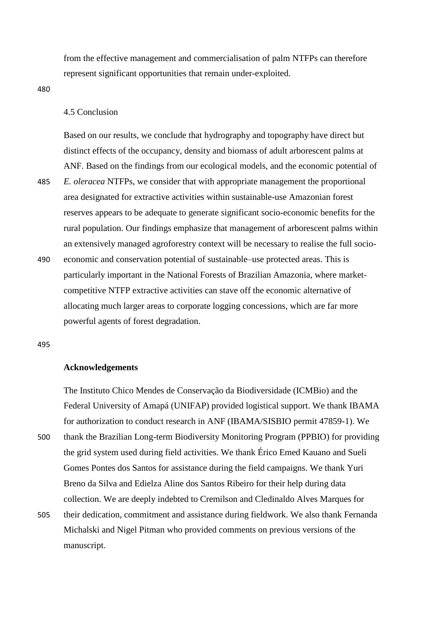from the effective management and commercialisation of palm NTFPs can therefore represent significant opportunities that remain under-exploited.

#### 480

# 4.5 Conclusion

Based on our results, we conclude that hydrography and topography have direct but distinct effects of the occupancy, density and biomass of adult arborescent palms at ANF. Based on the findings from our ecological models, and the economic potential of

- 485 *E. oleracea* NTFPs, we consider that with appropriate management the proportional area designated for extractive activities within sustainable-use Amazonian forest reserves appears to be adequate to generate significant socio-economic benefits for the rural population. Our findings emphasize that management of arborescent palms within an extensively managed agroforestry context will be necessary to realise the full socio-490 economic and conservation potential of sustainable–use protected areas. This is
- particularly important in the National Forests of Brazilian Amazonia, where marketcompetitive NTFP extractive activities can stave off the economic alternative of allocating much larger areas to corporate logging concessions, which are far more powerful agents of forest degradation.

#### 495

## **Acknowledgements**

The Instituto Chico Mendes de Conservação da Biodiversidade (ICMBio) and the Federal University of Amapá (UNIFAP) provided logistical support. We thank IBAMA for authorization to conduct research in ANF (IBAMA/SISBIO permit 47859-1). We 500 thank the Brazilian Long-term Biodiversity Monitoring Program (PPBIO) for providing the grid system used during field activities. We thank Érico Emed Kauano and Sueli Gomes Pontes dos Santos for assistance during the field campaigns. We thank Yuri Breno da Silva and Edielza Aline dos Santos Ribeiro for their help during data collection. We are deeply indebted to Cremilson and Cledinaldo Alves Marques for 505 their dedication, commitment and assistance during fieldwork. We also thank Fernanda

Michalski and Nigel Pitman who provided comments on previous versions of the manuscript.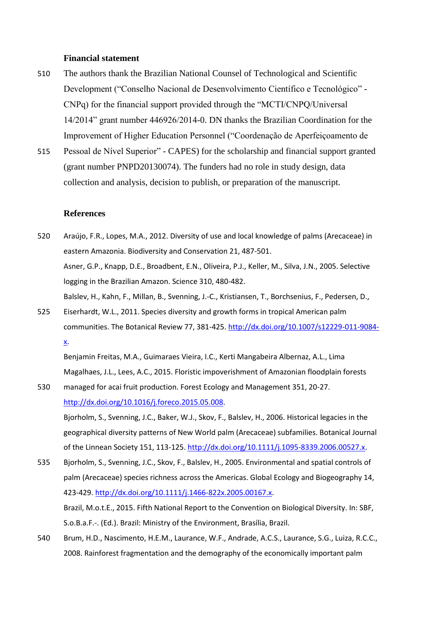## **Financial statement**

- 510 The authors thank the Brazilian National Counsel of Technological and Scientific Development ("Conselho Nacional de Desenvolvimento Científico e Tecnológico" - CNPq) for the financial support provided through the "MCTI/CNPQ/Universal 14/2014" grant number 446926/2014-0. DN thanks the Brazilian Coordination for the Improvement of Higher Education Personnel ("Coordenação de Aperfeiçoamento de
- 515 Pessoal de Nível Superior" CAPES) for the scholarship and financial support granted (grant number PNPD20130074). The funders had no role in study design, data collection and analysis, decision to publish, or preparation of the manuscript.

#### <span id="page-20-3"></span>**References**

- <span id="page-20-7"></span>520 Araújo, F.R., Lopes, M.A., 2012. Diversity of use and local knowledge of palms (Arecaceae) in eastern Amazonia. Biodiversity and Conservation 21, 487-501. Asner, G.P., Knapp, D.E., Broadbent, E.N., Oliveira, P.J., Keller, M., Silva, J.N., 2005. Selective logging in the Brazilian Amazon. Science 310, 480-482. Balslev, H., Kahn, F., Millan, B., Svenning, J.-C., Kristiansen, T., Borchsenius, F., Pedersen, D.,
- <span id="page-20-2"></span>525 Eiserhardt, W.L., 2011. Species diversity and growth forms in tropical American palm communities. The Botanical Review 77, 381-425[. http://dx.doi.org/10.1007/s12229-011-9084](http://dx.doi.org/10.1007/s12229-011-9084-x) [x.](http://dx.doi.org/10.1007/s12229-011-9084-x)

<span id="page-20-1"></span>Benjamin Freitas, M.A., Guimaraes Vieira, I.C., Kerti Mangabeira Albernaz, A.L., Lima Magalhaes, J.L., Lees, A.C., 2015. Floristic impoverishment of Amazonian floodplain forests

- <span id="page-20-6"></span>530 managed for acai fruit production. Forest Ecology and Management 351, 20-27. [http://dx.doi.org/10.1016/j.foreco.2015.05.008.](http://dx.doi.org/10.1016/j.foreco.2015.05.008) Bjorholm, S., Svenning, J.C., Baker, W.J., Skov, F., Balslev, H., 2006. Historical legacies in the geographical diversity patterns of New World palm (Arecaceae) subfamilies. Botanical Journal of the Linnean Society 151, 113-125[. http://dx.doi.org/10.1111/j.1095-8339.2006.00527.x.](http://dx.doi.org/10.1111/j.1095-8339.2006.00527.x)
- <span id="page-20-5"></span>535 Bjorholm, S., Svenning, J.C., Skov, F., Balslev, H., 2005. Environmental and spatial controls of palm (Arecaceae) species richness across the Americas. Global Ecology and Biogeography 14, 423-429. [http://dx.doi.org/10.1111/j.1466-822x.2005.00167.x.](http://dx.doi.org/10.1111/j.1466-822x.2005.00167.x) Brazil, M.o.t.E., 2015. Fifth National Report to the Convention on Biological Diversity. In: SBF, S.o.B.a.F.-. (Ed.). Brazil: Ministry of the Environment, Brasília, Brazil.
- <span id="page-20-4"></span><span id="page-20-0"></span>540 Brum, H.D., Nascimento, H.E.M., Laurance, W.F., Andrade, A.C.S., Laurance, S.G., Luiza, R.C.C., 2008. Rainforest fragmentation and the demography of the economically important palm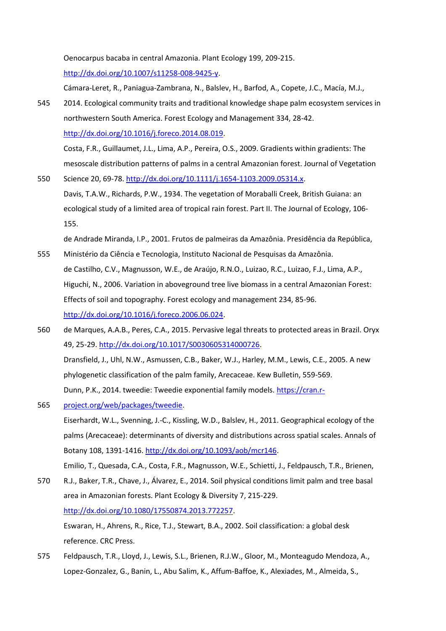Oenocarpus bacaba in central Amazonia. Plant Ecology 199, 209-215.

[http://dx.doi.org/10.1007/s11258-008-9425-y.](http://dx.doi.org/10.1007/s11258-008-9425-y)

<span id="page-21-2"></span>Cámara-Leret, R., Paniagua-Zambrana, N., Balslev, H., Barfod, A., Copete, J.C., Macía, M.J.,

545 2014. Ecological community traits and traditional knowledge shape palm ecosystem services in northwestern South America. Forest Ecology and Management 334, 28-42. [http://dx.doi.org/10.1016/j.foreco.2014.08.019.](http://dx.doi.org/10.1016/j.foreco.2014.08.019)

<span id="page-21-7"></span>Costa, F.R., Guillaumet, J.L., Lima, A.P., Pereira, O.S., 2009. Gradients within gradients: The mesoscale distribution patterns of palms in a central Amazonian forest. Journal of Vegetation

<span id="page-21-10"></span>550 Science 20, 69-78. [http://dx.doi.org/10.1111/j.1654-1103.2009.05314.x.](http://dx.doi.org/10.1111/j.1654-1103.2009.05314.x) Davis, T.A.W., Richards, P.W., 1934. The vegetation of Moraballi Creek, British Guiana: an ecological study of a limited area of tropical rain forest. Part II. The Journal of Ecology, 106- 155.

<span id="page-21-5"></span>de Andrade Miranda, I.P., 2001. Frutos de palmeiras da Amazônia. Presidência da República,

- <span id="page-21-6"></span>555 Ministério da Ciência e Tecnologia, Instituto Nacional de Pesquisas da Amazônia. de Castilho, C.V., Magnusson, W.E., de Araújo, R.N.O., Luizao, R.C., Luizao, F.J., Lima, A.P., Higuchi, N., 2006. Variation in aboveground tree live biomass in a central Amazonian Forest: Effects of soil and topography. Forest ecology and management 234, 85-96. [http://dx.doi.org/10.1016/j.foreco.2006.06.024.](http://dx.doi.org/10.1016/j.foreco.2006.06.024)
- <span id="page-21-9"></span><span id="page-21-0"></span>560 de Marques, A.A.B., Peres, C.A., 2015. Pervasive legal threats to protected areas in Brazil. Oryx 49, 25-29. [http://dx.doi.org/10.1017/S0030605314000726.](http://dx.doi.org/10.1017/S0030605314000726) Dransfield, J., Uhl, N.W., Asmussen, C.B., Baker, W.J., Harley, M.M., Lewis, C.E., 2005. A new phylogenetic classification of the palm family, Arecaceae. Kew Bulletin, 559-569. Dunn, P.K., 2014. tweedie: Tweedie exponential family models. [https://cran.r-](https://cran.r-project.org/web/packages/tweedie)
- <span id="page-21-8"></span><span id="page-21-3"></span>565 [project.org/web/packages/tweedie.](https://cran.r-project.org/web/packages/tweedie) Eiserhardt, W.L., Svenning, J.-C., Kissling, W.D., Balslev, H., 2011. Geographical ecology of the palms (Arecaceae): determinants of diversity and distributions across spatial scales. Annals of Botany 108, 1391-1416. [http://dx.doi.org/10.1093/aob/mcr146.](http://dx.doi.org/10.1093/aob/mcr146) Emilio, T., Quesada, C.A., Costa, F.R., Magnusson, W.E., Schietti, J., Feldpausch, T.R., Brienen,
- <span id="page-21-1"></span>570 R.J., Baker, T.R., Chave, J., Álvarez, E., 2014. Soil physical conditions limit palm and tree basal area in Amazonian forests. Plant Ecology & Diversity 7, 215-229. [http://dx.doi.org/10.1080/17550874.2013.772257.](http://dx.doi.org/10.1080/17550874.2013.772257) Eswaran, H., Ahrens, R., Rice, T.J., Stewart, B.A., 2002. Soil classification: a global desk reference. CRC Press.
- <span id="page-21-11"></span><span id="page-21-4"></span>575 Feldpausch, T.R., Lloyd, J., Lewis, S.L., Brienen, R.J.W., Gloor, M., Monteagudo Mendoza, A., Lopez-Gonzalez, G., Banin, L., Abu Salim, K., Affum-Baffoe, K., Alexiades, M., Almeida, S.,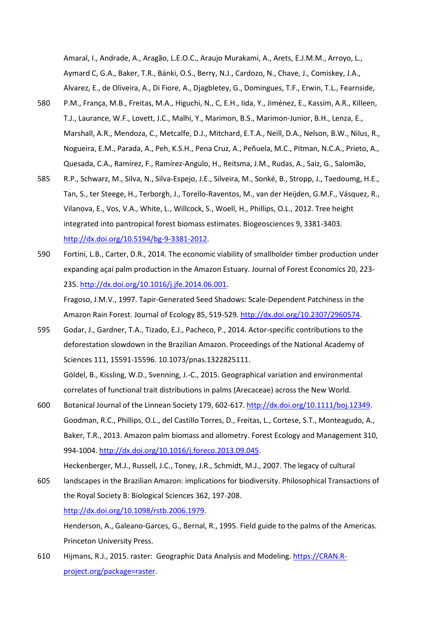Amaral, I., Andrade, A., Aragão, L.E.O.C., Araujo Murakami, A., Arets, E.J.M.M., Arroyo, L., Aymard C, G.A., Baker, T.R., Bánki, O.S., Berry, N.J., Cardozo, N., Chave, J., Comiskey, J.A., Alvarez, E., de Oliveira, A., Di Fiore, A., Djagbletey, G., Domingues, T.F., Erwin, T.L., Fearnside,

- 580 P.M., França, M.B., Freitas, M.A., Higuchi, N., C, E.H., Iida, Y., Jiménez, E., Kassim, A.R., Killeen, T.J., Laurance, W.F., Lovett, J.C., Malhi, Y., Marimon, B.S., Marimon-Junior, B.H., Lenza, E., Marshall, A.R., Mendoza, C., Metcalfe, D.J., Mitchard, E.T.A., Neill, D.A., Nelson, B.W., Nilus, R., Nogueira, E.M., Parada, A., Peh, K.S.H., Pena Cruz, A., Peñuela, M.C., Pitman, N.C.A., Prieto, A., Quesada, C.A., Ramírez, F., Ramírez-Angulo, H., Reitsma, J.M., Rudas, A., Saiz, G., Salomão,
- 585 R.P., Schwarz, M., Silva, N., Silva-Espejo, J.E., Silveira, M., Sonké, B., Stropp, J., Taedoumg, H.E., Tan, S., ter Steege, H., Terborgh, J., Torello-Raventos, M., van der Heijden, G.M.F., Vásquez, R., Vilanova, E., Vos, V.A., White, L., Willcock, S., Woell, H., Phillips, O.L., 2012. Tree height integrated into pantropical forest biomass estimates. Biogeosciences 9, 3381-3403. [http://dx.doi.org/10.5194/bg-9-3381-2012.](http://dx.doi.org/10.5194/bg-9-3381-2012)
- <span id="page-22-6"></span>590 Fortini, L.B., Carter, D.R., 2014. The economic viability of smallholder timber production under expanding açaí palm production in the Amazon Estuary. Journal of Forest Economics 20, 223- 235. [http://dx.doi.org/10.1016/j.jfe.2014.06.001.](http://dx.doi.org/10.1016/j.jfe.2014.06.001) Fragoso, J.M.V., 1997. Tapir-Generated Seed Shadows: Scale-Dependent Patchiness in the

<span id="page-22-5"></span><span id="page-22-0"></span>Amazon Rain Forest. Journal of Ecology 85, 519-529. [http://dx.doi.org/10.2307/2960574.](http://dx.doi.org/10.2307/2960574)

- 595 Godar, J., Gardner, T.A., Tizado, E.J., Pacheco, P., 2014. Actor-specific contributions to the deforestation slowdown in the Brazilian Amazon. Proceedings of the National Academy of Sciences 111, 15591-15596. 10.1073/pnas.1322825111. Göldel, B., Kissling, W.D., Svenning, J.-C., 2015. Geographical variation and environmental correlates of functional trait distributions in palms (Arecaceae) across the New World.
- <span id="page-22-4"></span><span id="page-22-1"></span>600 Botanical Journal of the Linnean Society 179, 602-617[. http://dx.doi.org/10.1111/boj.12349.](http://dx.doi.org/10.1111/boj.12349) Goodman, R.C., Phillips, O.L., del Castillo Torres, D., Freitas, L., Cortese, S.T., Monteagudo, A., Baker, T.R., 2013. Amazon palm biomass and allometry. Forest Ecology and Management 310, 994-1004[. http://dx.doi.org/10.1016/j.foreco.2013.09.045.](http://dx.doi.org/10.1016/j.foreco.2013.09.045)

<span id="page-22-7"></span>Heckenberger, M.J., Russell, J.C., Toney, J.R., Schmidt, M.J., 2007. The legacy of cultural

- 605 landscapes in the Brazilian Amazon: implications for biodiversity. Philosophical Transactions of the Royal Society B: Biological Sciences 362, 197-208. [http://dx.doi.org/10.1098/rstb.2006.1979.](http://dx.doi.org/10.1098/rstb.2006.1979) Henderson, A., Galeano-Garces, G., Bernal, R., 1995. Field guide to the palms of the Americas. Princeton University Press.
- <span id="page-22-3"></span><span id="page-22-2"></span>610 Hijmans, R.J., 2015. raster: Geographic Data Analysis and Modeling. [https://CRAN.R](https://cran.r-project.org/package=raster)[project.org/package=raster.](https://cran.r-project.org/package=raster)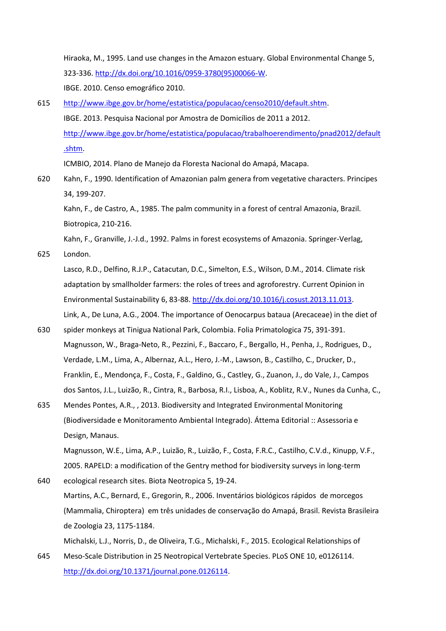<span id="page-23-10"></span><span id="page-23-0"></span>Hiraoka, M., 1995. Land use changes in the Amazon estuary. Global Environmental Change 5, 323-336. [http://dx.doi.org/10.1016/0959-3780\(95\)00066-W.](http://dx.doi.org/10.1016/0959-3780(95)00066-W) IBGE. 2010. Censo emográfico 2010.

<span id="page-23-11"></span>615 [http://www.ibge.gov.br/home/estatistica/populacao/censo2010/default.shtm.](http://www.ibge.gov.br/home/estatistica/populacao/censo2010/default.shtm) IBGE. 2013. Pesquisa Nacional por Amostra de Domicílios de 2011 a 2012. [http://www.ibge.gov.br/home/estatistica/populacao/trabalhoerendimento/pnad2012/default](http://www.ibge.gov.br/home/estatistica/populacao/trabalhoerendimento/pnad2012/default.shtm) [.shtm.](http://www.ibge.gov.br/home/estatistica/populacao/trabalhoerendimento/pnad2012/default.shtm)

<span id="page-23-7"></span><span id="page-23-4"></span>ICMBIO, 2014. Plano de Manejo da Floresta Nacional do Amapá, Macapa.

620 Kahn, F., 1990. Identification of Amazonian palm genera from vegetative characters. Principes 34, 199-207.

<span id="page-23-3"></span>Kahn, F., de Castro, A., 1985. The palm community in a forest of central Amazonia, Brazil. Biotropica, 210-216.

<span id="page-23-9"></span>Kahn, F., Granville, J.-J.d., 1992. Palms in forest ecosystems of Amazonia. Springer-Verlag,

625 London.

<span id="page-23-1"></span>Lasco, R.D., Delfino, R.J.P., Catacutan, D.C., Simelton, E.S., Wilson, D.M., 2014. Climate risk adaptation by smallholder farmers: the roles of trees and agroforestry. Current Opinion in Environmental Sustainability 6, 83-88. [http://dx.doi.org/10.1016/j.cosust.2013.11.013.](http://dx.doi.org/10.1016/j.cosust.2013.11.013)

<span id="page-23-2"></span>Link, A., De Luna, A.G., 2004. The importance of Oenocarpus bataua (Arecaceae) in the diet of 630 spider monkeys at Tinigua National Park, Colombia. Folia Primatologica 75, 391-391.

- <span id="page-23-5"></span>Magnusson, W., Braga-Neto, R., Pezzini, F., Baccaro, F., Bergallo, H., Penha, J., Rodrigues, D., Verdade, L.M., Lima, A., Albernaz, A.L., Hero, J.-M., Lawson, B., Castilho, C., Drucker, D., Franklin, E., Mendonça, F., Costa, F., Galdino, G., Castley, G., Zuanon, J., do Vale, J., Campos dos Santos, J.L., Luizão, R., Cintra, R., Barbosa, R.I., Lisboa, A., Koblitz, R.V., Nunes da Cunha, C.,
- 635 Mendes Pontes, A.R., , 2013. Biodiversity and Integrated Environmental Monitoring (Biodiversidade e Monitoramento Ambiental Integrado). Áttema Editorial :: Assessoria e Design, Manaus.

<span id="page-23-6"></span>Magnusson, W.E., Lima, A.P., Luizão, R., Luizão, F., Costa, F.R.C., Castilho, C.V.d., Kinupp, V.F., 2005. RAPELD: a modification of the Gentry method for biodiversity surveys in long-term

640 ecological research sites. Biota Neotropica 5, 19-24. Martins, A.C., Bernard, E., Gregorin, R., 2006. Inventários biológicos rápidos de morcegos (Mammalia, Chiroptera) em três unidades de conservação do Amapá, Brasil. Revista Brasileira de Zoologia 23, 1175-1184.

<span id="page-23-8"></span>Michalski, L.J., Norris, D., de Oliveira, T.G., Michalski, F., 2015. Ecological Relationships of

645 Meso-Scale Distribution in 25 Neotropical Vertebrate Species. PLoS ONE 10, e0126114. [http://dx.doi.org/10.1371/journal.pone.0126114.](http://dx.doi.org/10.1371/journal.pone.0126114)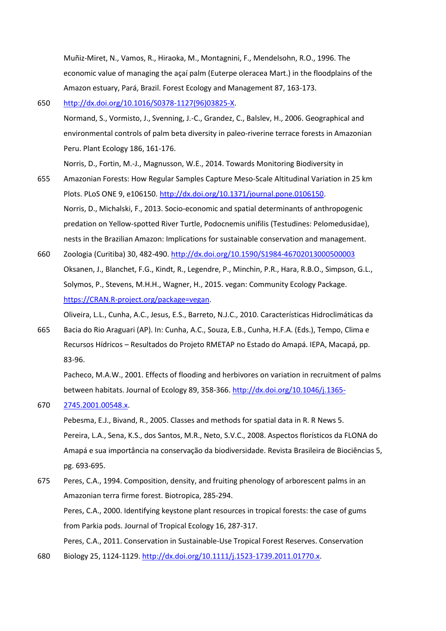<span id="page-24-2"></span>Muñiz-Miret, N., Vamos, R., Hiraoka, M., Montagnini, F., Mendelsohn, R.O., 1996. The economic value of managing the açaí palm (Euterpe oleracea Mart.) in the floodplains of the Amazon estuary, Pará, Brazil. Forest Ecology and Management 87, 163-173.

# <span id="page-24-10"></span>650 [http://dx.doi.org/10.1016/S0378-1127\(96\)03825-X.](http://dx.doi.org/10.1016/S0378-1127(96)03825-X) Normand, S., Vormisto, J., Svenning, J.-C., Grandez, C., Balslev, H., 2006. Geographical and environmental controls of palm beta diversity in paleo-riverine terrace forests in Amazonian Peru. Plant Ecology 186, 161-176.

<span id="page-24-6"></span>Norris, D., Fortin, M.-J., Magnusson, W.E., 2014. Towards Monitoring Biodiversity in

- <span id="page-24-1"></span>655 Amazonian Forests: How Regular Samples Capture Meso-Scale Altitudinal Variation in 25 km Plots. PLoS ONE 9, e106150. [http://dx.doi.org/10.1371/journal.pone.0106150.](http://dx.doi.org/10.1371/journal.pone.0106150) Norris, D., Michalski, F., 2013. Socio-economic and spatial determinants of anthropogenic predation on Yellow-spotted River Turtle, Podocnemis unifilis (Testudines: Pelomedusidae), nests in the Brazilian Amazon: Implications for sustainable conservation and management.
- <span id="page-24-8"></span>660 Zoologia (Curitiba) 30, 482-490[. http://dx.doi.org/10.1590/S1984-46702013000500003](http://dx.doi.org/10.1590/S1984-46702013000500003) Oksanen, J., Blanchet, F.G., Kindt, R., Legendre, P., Minchin, P.R., Hara, R.B.O., Simpson, G.L., Solymos, P., Stevens, M.H.H., Wagner, H., 2015. vegan: Community Ecology Package. [https://CRAN.R-project.org/package=vegan.](https://cran.r-project.org/package=vegan)

<span id="page-24-4"></span>Oliveira, L.L., Cunha, A.C., Jesus, E.S., Barreto, N.J.C., 2010. Características Hidroclimáticas da

665 Bacia do Rio Araguari (AP). In: Cunha, A.C., Souza, E.B., Cunha, H.F.A. (Eds.), Tempo, Clima e Recursos Hídricos – Resultados do Projeto RMETAP no Estado do Amapá. IEPA, Macapá, pp. 83-96.

<span id="page-24-11"></span>Pacheco, M.A.W., 2001. Effects of flooding and herbivores on variation in recruitment of palms between habitats. Journal of Ecology 89, 358-366[. http://dx.doi.org/10.1046/j.1365-](http://dx.doi.org/10.1046/j.1365-2745.2001.00548.x)

670 [2745.2001.00548.x.](http://dx.doi.org/10.1046/j.1365-2745.2001.00548.x)

<span id="page-24-7"></span><span id="page-24-5"></span>Pebesma, E.J., Bivand, R., 2005. Classes and methods for spatial data in R. R News 5. Pereira, L.A., Sena, K.S., dos Santos, M.R., Neto, S.V.C., 2008. Aspectos florísticos da FLONA do Amapá e sua importância na conservação da biodiversidade. Revista Brasileira de Biociências 5, pg. 693-695.

- <span id="page-24-9"></span><span id="page-24-3"></span>675 Peres, C.A., 1994. Composition, density, and fruiting phenology of arborescent palms in an Amazonian terra firme forest. Biotropica, 285-294. Peres, C.A., 2000. Identifying keystone plant resources in tropical forests: the case of gums from Parkia pods. Journal of Tropical Ecology 16, 287-317. Peres, C.A., 2011. Conservation in Sustainable‐Use Tropical Forest Reserves. Conservation
- <span id="page-24-0"></span>680 Biology 25, 1124-1129. [http://dx.doi.org/10.1111/j.1523-1739.2011.01770.x.](http://dx.doi.org/10.1111/j.1523-1739.2011.01770.x)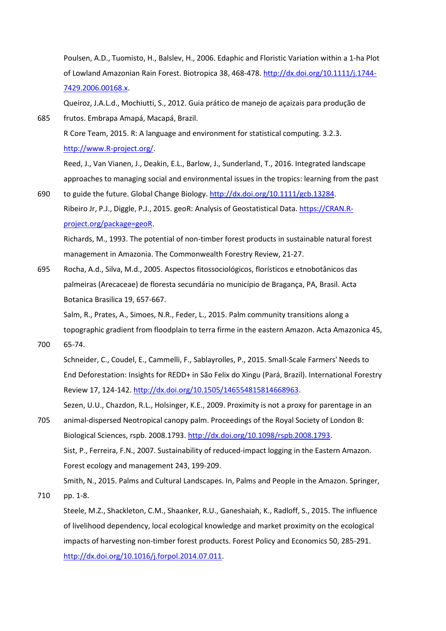<span id="page-25-7"></span>Poulsen, A.D., Tuomisto, H., Balslev, H., 2006. Edaphic and Floristic Variation within a 1‐ha Plot of Lowland Amazonian Rain Forest. Biotropica 38, 468-478[. http://dx.doi.org/10.1111/j.1744-](http://dx.doi.org/10.1111/j.1744-7429.2006.00168.x) [7429.2006.00168.x.](http://dx.doi.org/10.1111/j.1744-7429.2006.00168.x)

<span id="page-25-12"></span>Queiroz, J.A.L.d., Mochiutti, S., 2012. Guia prático de manejo de açaizais para produção de 685 frutos. Embrapa Amapá, Macapá, Brazil.

<span id="page-25-9"></span>R Core Team, 2015. R: A language and environment for statistical computing. 3.2.3. [http://www.R-project.org/.](http://www.r-project.org/)

<span id="page-25-1"></span>Reed, J., Van Vianen, J., Deakin, E.L., Barlow, J., Sunderland, T., 2016. Integrated landscape approaches to managing social and environmental issues in the tropics: learning from the past

<span id="page-25-10"></span>690 to guide the future. Global Change Biology. [http://dx.doi.org/10.1111/gcb.13284.](http://dx.doi.org/10.1111/gcb.13284) Ribeiro Jr, P.J., Diggle, P.J., 2015. geoR: Analysis of Geostatistical Data[. https://CRAN.R](https://cran.r-project.org/package=geoR)[project.org/package=geoR.](https://cran.r-project.org/package=geoR)

<span id="page-25-3"></span>Richards, M., 1993. The potential of non-timber forest products in sustainable natural forest management in Amazonia. The Commonwealth Forestry Review, 21-27.

<span id="page-25-6"></span>695 Rocha, A.d., Silva, M.d., 2005. Aspectos fitossociológicos, florísticos e etnobotânicos das palmeiras (Arecaceae) de floresta secundária no município de Bragança, PA, Brasil. Acta Botanica Brasilica 19, 657-667.

<span id="page-25-8"></span>Salm, R., Prates, A., Simoes, N.R., Feder, L., 2015. Palm community transitions along a topographic gradient from floodplain to terra firme in the eastern Amazon. Acta Amazonica 45,

700 65-74.

<span id="page-25-0"></span>Schneider, C., Coudel, E., Cammelli, F., Sablayrolles, P., 2015. Small-Scale Farmers' Needs to End Deforestation: Insights for REDD+ in São Felix do Xingu (Pará, Brazil). International Forestry Review 17, 124-142. [http://dx.doi.org/10.1505/146554815814668963.](http://dx.doi.org/10.1505/146554815814668963)

<span id="page-25-11"></span>Sezen, U.U., Chazdon, R.L., Holsinger, K.E., 2009. Proximity is not a proxy for parentage in an

- <span id="page-25-5"></span>705 animal-dispersed Neotropical canopy palm. Proceedings of the Royal Society of London B: Biological Sciences, rspb. 2008.1793. [http://dx.doi.org/10.1098/rspb.2008.1793.](http://dx.doi.org/10.1098/rspb.2008.1793) Sist, P., Ferreira, F.N., 2007. Sustainability of reduced-impact logging in the Eastern Amazon. Forest ecology and management 243, 199-209. Smith, N., 2015. Palms and Cultural Landscapes. In, Palms and People in the Amazon. Springer,
- <span id="page-25-2"></span>710 pp. 1-8.

<span id="page-25-4"></span>Steele, M.Z., Shackleton, C.M., Shaanker, R.U., Ganeshaiah, K., Radloff, S., 2015. The influence of livelihood dependency, local ecological knowledge and market proximity on the ecological impacts of harvesting non-timber forest products. Forest Policy and Economics 50, 285-291. [http://dx.doi.org/10.1016/j.forpol.2014.07.011.](http://dx.doi.org/10.1016/j.forpol.2014.07.011)